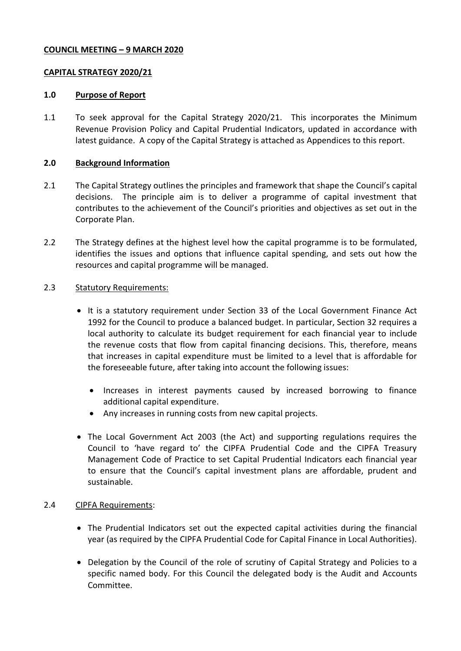### **COUNCIL MEETING – 9 MARCH 2020**

### **CAPITAL STRATEGY 2020/21**

#### **1.0 Purpose of Report**

1.1 To seek approval for the Capital Strategy 2020/21. This incorporates the Minimum Revenue Provision Policy and Capital Prudential Indicators, updated in accordance with latest guidance. A copy of the Capital Strategy is attached as Appendices to this report.

#### **2.0 Background Information**

- 2.1 The Capital Strategy outlines the principles and framework that shape the Council's capital decisions. The principle aim is to deliver a programme of capital investment that contributes to the achievement of the Council's priorities and objectives as set out in the Corporate Plan.
- 2.2 The Strategy defines at the highest level how the capital programme is to be formulated, identifies the issues and options that influence capital spending, and sets out how the resources and capital programme will be managed.

#### 2.3 Statutory Requirements:

- It is a statutory requirement under Section 33 of the Local Government Finance Act 1992 for the Council to produce a balanced budget. In particular, Section 32 requires a local authority to calculate its budget requirement for each financial year to include the revenue costs that flow from capital financing decisions. This, therefore, means that increases in capital expenditure must be limited to a level that is affordable for the foreseeable future, after taking into account the following issues:
	- Increases in interest payments caused by increased borrowing to finance additional capital expenditure.
	- Any increases in running costs from new capital projects.
- The Local Government Act 2003 (the Act) and supporting regulations requires the Council to 'have regard to' the CIPFA Prudential Code and the CIPFA Treasury Management Code of Practice to set Capital Prudential Indicators each financial year to ensure that the Council's capital investment plans are affordable, prudent and sustainable.

#### 2.4 CIPFA Requirements:

- The Prudential Indicators set out the expected capital activities during the financial year (as required by the CIPFA Prudential Code for Capital Finance in Local Authorities).
- Delegation by the Council of the role of scrutiny of Capital Strategy and Policies to a specific named body. For this Council the delegated body is the Audit and Accounts Committee.